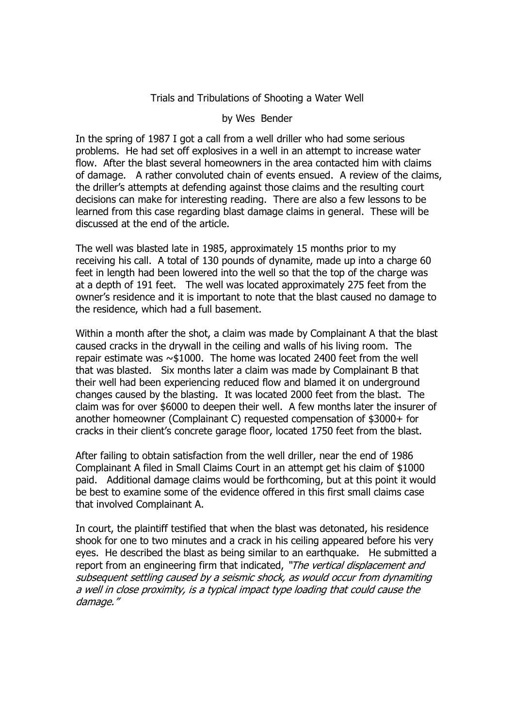## Trials and Tribulations of Shooting a Water Well

## by Wes Bender

In the spring of 1987 I got a call from a well driller who had some serious problems. He had set off explosives in a well in an attempt to increase water flow. After the blast several homeowners in the area contacted him with claims of damage. A rather convoluted chain of events ensued. A review of the claims, the driller's attempts at defending against those claims and the resulting court decisions can make for interesting reading. There are also a few lessons to be learned from this case regarding blast damage claims in general. These will be discussed at the end of the article.

The well was blasted late in 1985, approximately 15 months prior to my receiving his call. A total of 130 pounds of dynamite, made up into a charge 60 feet in length had been lowered into the well so that the top of the charge was at a depth of 191 feet. The well was located approximately 275 feet from the owner's residence and it is important to note that the blast caused no damage to the residence, which had a full basement.

Within a month after the shot, a claim was made by Complainant A that the blast caused cracks in the drywall in the ceiling and walls of his living room. The repair estimate was ~\$1000. The home was located 2400 feet from the well that was blasted. Six months later a claim was made by Complainant B that their well had been experiencing reduced flow and blamed it on underground changes caused by the blasting. It was located 2000 feet from the blast. The claim was for over \$6000 to deepen their well. A few months later the insurer of another homeowner (Complainant C) requested compensation of \$3000+ for cracks in their client's concrete garage floor, located 1750 feet from the blast.

After failing to obtain satisfaction from the well driller, near the end of 1986 Complainant A filed in Small Claims Court in an attempt get his claim of \$1000 paid. Additional damage claims would be forthcoming, but at this point it would be best to examine some of the evidence offered in this first small claims case that involved Complainant A.

In court, the plaintiff testified that when the blast was detonated, his residence shook for one to two minutes and a crack in his ceiling appeared before his very eyes. He described the blast as being similar to an earthquake. He submitted a report from an engineering firm that indicated, "The vertical displacement and subsequent settling caused by a seismic shock, as would occur from dynamiting a well in close proximity, is a typical impact type loading that could cause the damage."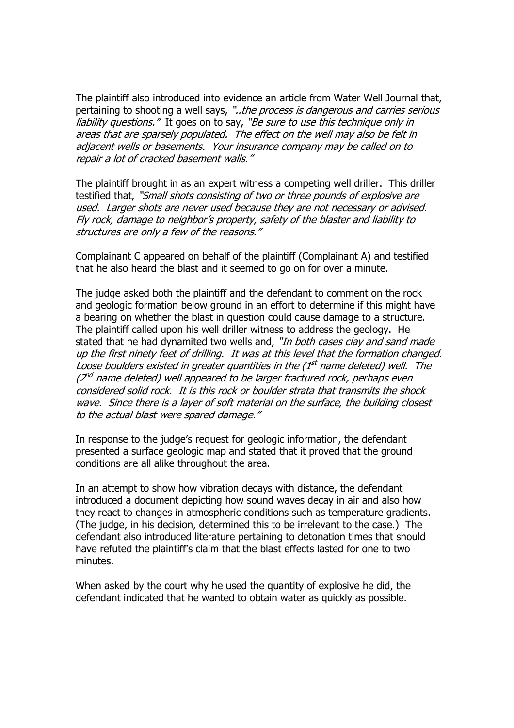The plaintiff also introduced into evidence an article from Water Well Journal that, pertaining to shooting a well says, "..the process is dangerous and carries serious liability questions." It goes on to say, "Be sure to use this technique only in areas that are sparsely populated. The effect on the well may also be felt in adjacent wells or basements. Your insurance company may be called on to repair a lot of cracked basement walls."

The plaintiff brought in as an expert witness a competing well driller. This driller testified that, "Small shots consisting of two or three pounds of explosive are used. Larger shots are never used because they are not necessary or advised. Fly rock, damage to neighbor's property, safety of the blaster and liability to structures are only a few of the reasons."

Complainant C appeared on behalf of the plaintiff (Complainant A) and testified that he also heard the blast and it seemed to go on for over a minute.

The judge asked both the plaintiff and the defendant to comment on the rock and geologic formation below ground in an effort to determine if this might have a bearing on whether the blast in question could cause damage to a structure. The plaintiff called upon his well driller witness to address the geology. He stated that he had dynamited two wells and, "In both cases clay and sand made up the first ninety feet of drilling. It was at this level that the formation changed. Loose boulders existed in greater quantities in the (1<sup>st</sup> name deleted) well. The (2<sup>nd</sup> name deleted) well appeared to be larger fractured rock, perhaps even considered solid rock. It is this rock or boulder strata that transmits the shock wave. Since there is a layer of soft material on the surface, the building closest to the actual blast were spared damage."

In response to the judge's request for geologic information, the defendant presented a surface geologic map and stated that it proved that the ground conditions are all alike throughout the area.

In an attempt to show how vibration decays with distance, the defendant introduced a document depicting how sound waves decay in air and also how they react to changes in atmospheric conditions such as temperature gradients. (The judge, in his decision, determined this to be irrelevant to the case.) The defendant also introduced literature pertaining to detonation times that should have refuted the plaintiff's claim that the blast effects lasted for one to two minutes.

When asked by the court why he used the quantity of explosive he did, the defendant indicated that he wanted to obtain water as quickly as possible.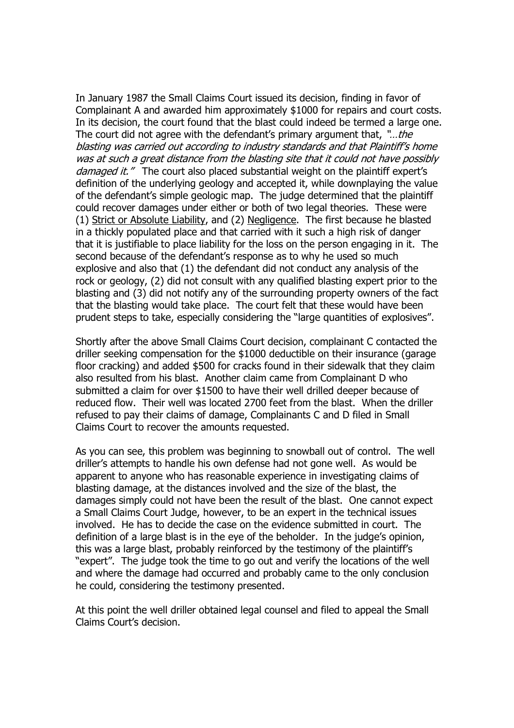In January 1987 the Small Claims Court issued its decision, finding in favor of Complainant A and awarded him approximately \$1000 for repairs and court costs. In its decision, the court found that the blast could indeed be termed a large one. The court did not agree with the defendant's primary argument that, "...the blasting was carried out according to industry standards and that Plaintiff's home was at such a great distance from the blasting site that it could not have possibly damaged it." The court also placed substantial weight on the plaintiff expert's definition of the underlying geology and accepted it, while downplaying the value of the defendant's simple geologic map. The judge determined that the plaintiff could recover damages under either or both of two legal theories. These were (1) Strict or Absolute Liability, and (2) Negligence. The first because he blasted in a thickly populated place and that carried with it such a high risk of danger that it is justifiable to place liability for the loss on the person engaging in it. The second because of the defendant's response as to why he used so much explosive and also that (1) the defendant did not conduct any analysis of the rock or geology, (2) did not consult with any qualified blasting expert prior to the blasting and (3) did not notify any of the surrounding property owners of the fact that the blasting would take place. The court felt that these would have been prudent steps to take, especially considering the "large quantities of explosives".

Shortly after the above Small Claims Court decision, complainant C contacted the driller seeking compensation for the \$1000 deductible on their insurance (garage floor cracking) and added \$500 for cracks found in their sidewalk that they claim also resulted from his blast. Another claim came from Complainant D who submitted a claim for over \$1500 to have their well drilled deeper because of reduced flow. Their well was located 2700 feet from the blast. When the driller refused to pay their claims of damage, Complainants C and D filed in Small Claims Court to recover the amounts requested.

As you can see, this problem was beginning to snowball out of control. The well driller's attempts to handle his own defense had not gone well. As would be apparent to anyone who has reasonable experience in investigating claims of blasting damage, at the distances involved and the size of the blast, the damages simply could not have been the result of the blast. One cannot expect a Small Claims Court Judge, however, to be an expert in the technical issues involved. He has to decide the case on the evidence submitted in court. The definition of a large blast is in the eye of the beholder. In the judge's opinion, this was a large blast, probably reinforced by the testimony of the plaintiff's "expert". The judge took the time to go out and verify the locations of the well and where the damage had occurred and probably came to the only conclusion he could, considering the testimony presented.

At this point the well driller obtained legal counsel and filed to appeal the Small Claims Court's decision.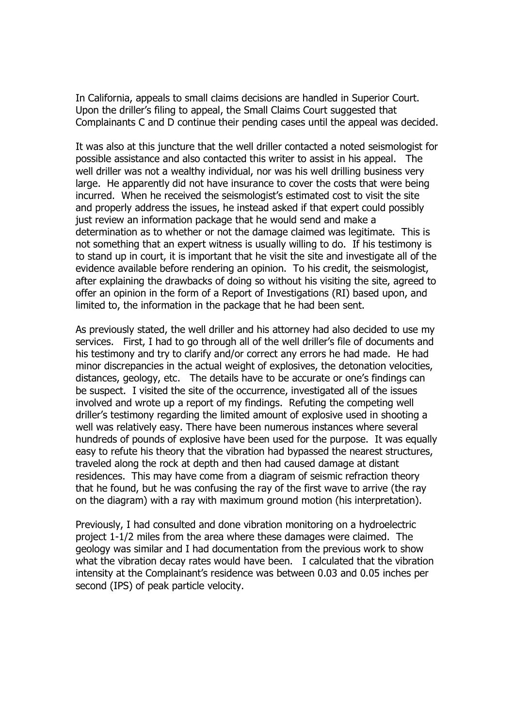In California, appeals to small claims decisions are handled in Superior Court. Upon the driller's filing to appeal, the Small Claims Court suggested that Complainants C and D continue their pending cases until the appeal was decided.

It was also at this juncture that the well driller contacted a noted seismologist for possible assistance and also contacted this writer to assist in his appeal. The well driller was not a wealthy individual, nor was his well drilling business very large. He apparently did not have insurance to cover the costs that were being incurred. When he received the seismologist's estimated cost to visit the site and properly address the issues, he instead asked if that expert could possibly just review an information package that he would send and make a determination as to whether or not the damage claimed was legitimate. This is not something that an expert witness is usually willing to do. If his testimony is to stand up in court, it is important that he visit the site and investigate all of the evidence available before rendering an opinion. To his credit, the seismologist, after explaining the drawbacks of doing so without his visiting the site, agreed to offer an opinion in the form of a Report of Investigations (RI) based upon, and limited to, the information in the package that he had been sent.

As previously stated, the well driller and his attorney had also decided to use my services. First, I had to go through all of the well driller's file of documents and his testimony and try to clarify and/or correct any errors he had made. He had minor discrepancies in the actual weight of explosives, the detonation velocities, distances, geology, etc. The details have to be accurate or one's findings can be suspect. I visited the site of the occurrence, investigated all of the issues involved and wrote up a report of my findings. Refuting the competing well driller's testimony regarding the limited amount of explosive used in shooting a well was relatively easy. There have been numerous instances where several hundreds of pounds of explosive have been used for the purpose. It was equally easy to refute his theory that the vibration had bypassed the nearest structures, traveled along the rock at depth and then had caused damage at distant residences. This may have come from a diagram of seismic refraction theory that he found, but he was confusing the ray of the first wave to arrive (the ray on the diagram) with a ray with maximum ground motion (his interpretation).

Previously, I had consulted and done vibration monitoring on a hydroelectric project 1-1/2 miles from the area where these damages were claimed. The geology was similar and I had documentation from the previous work to show what the vibration decay rates would have been. I calculated that the vibration intensity at the Complainant's residence was between 0.03 and 0.05 inches per second (IPS) of peak particle velocity.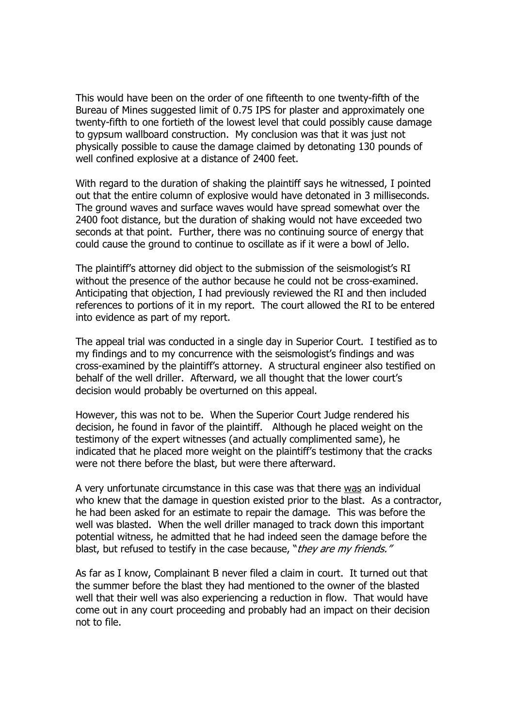This would have been on the order of one fifteenth to one twenty-fifth of the Bureau of Mines suggested limit of 0.75 IPS for plaster and approximately one twenty-fifth to one fortieth of the lowest level that could possibly cause damage to gypsum wallboard construction. My conclusion was that it was just not physically possible to cause the damage claimed by detonating 130 pounds of well confined explosive at a distance of 2400 feet.

With regard to the duration of shaking the plaintiff says he witnessed, I pointed out that the entire column of explosive would have detonated in 3 milliseconds. The ground waves and surface waves would have spread somewhat over the 2400 foot distance, but the duration of shaking would not have exceeded two seconds at that point. Further, there was no continuing source of energy that could cause the ground to continue to oscillate as if it were a bowl of Jello.

The plaintiff's attorney did object to the submission of the seismologist's RI without the presence of the author because he could not be cross-examined. Anticipating that objection, I had previously reviewed the RI and then included references to portions of it in my report. The court allowed the RI to be entered into evidence as part of my report.

The appeal trial was conducted in a single day in Superior Court. I testified as to my findings and to my concurrence with the seismologist's findings and was cross-examined by the plaintiff's attorney. A structural engineer also testified on behalf of the well driller. Afterward, we all thought that the lower court's decision would probably be overturned on this appeal.

However, this was not to be. When the Superior Court Judge rendered his decision, he found in favor of the plaintiff. Although he placed weight on the testimony of the expert witnesses (and actually complimented same), he indicated that he placed more weight on the plaintiff's testimony that the cracks were not there before the blast, but were there afterward.

A very unfortunate circumstance in this case was that there was an individual who knew that the damage in question existed prior to the blast. As a contractor, he had been asked for an estimate to repair the damage. This was before the well was blasted. When the well driller managed to track down this important potential witness, he admitted that he had indeed seen the damage before the blast, but refused to testify in the case because, "they are my friends."

As far as I know, Complainant B never filed a claim in court. It turned out that the summer before the blast they had mentioned to the owner of the blasted well that their well was also experiencing a reduction in flow. That would have come out in any court proceeding and probably had an impact on their decision not to file.